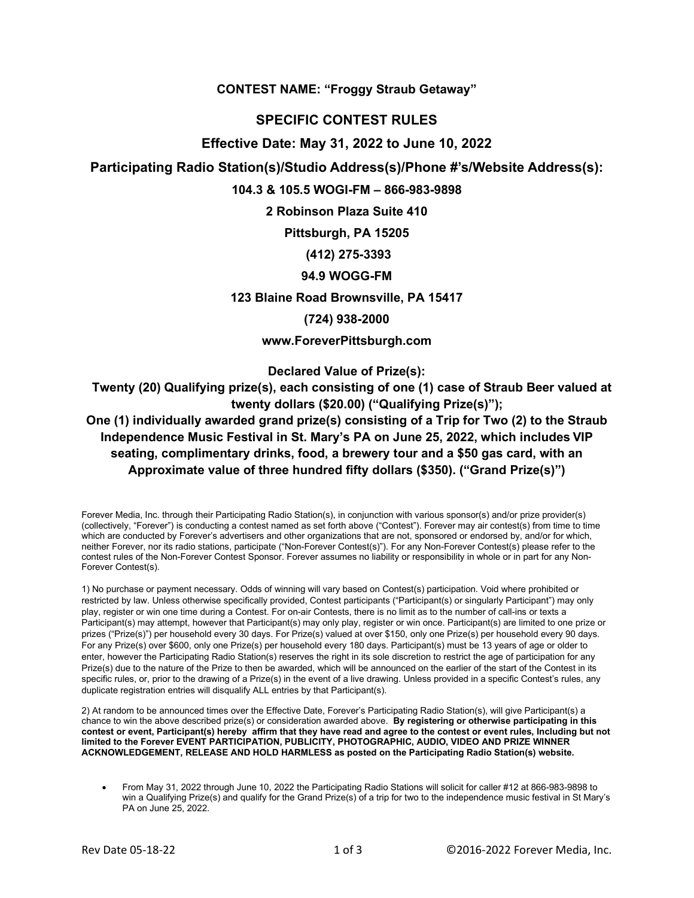**CONTEST NAME: "Froggy Straub Getaway"**

# **SPECIFIC CONTEST RULES**

## **Effective Date: May 31, 2022 to June 10, 2022**

## **Participating Radio Station(s)/Studio Address(s)/Phone #'s/Website Address(s):**

### **104.3 & 105.5 WOGI-FM – 866-983-9898**

**2 Robinson Plaza Suite 410** 

**Pittsburgh, PA 15205**

## **(412) 275-3393**

### **94.9 WOGG-FM**

**123 Blaine Road Brownsville, PA 15417**

### **(724) 938-2000**

## **www.ForeverPittsburgh.com**

**Declared Value of Prize(s):** 

 **Twenty (20) Qualifying prize(s), each consisting of one (1) case of Straub Beer valued at twenty dollars (\$20.00) ("Qualifying Prize(s)");**

# **One (1) individually awarded grand prize(s) consisting of a Trip for Two (2) to the Straub Independence Music Festival in St. Mary's PA on June 25, 2022, which includes VIP seating, complimentary drinks, food, a brewery tour and a \$50 gas card, with an Approximate value of three hundred fifty dollars (\$350). ("Grand Prize(s)")**

Forever Media, Inc. through their Participating Radio Station(s), in conjunction with various sponsor(s) and/or prize provider(s) (collectively, "Forever") is conducting a contest named as set forth above ("Contest"). Forever may air contest(s) from time to time which are conducted by Forever's advertisers and other organizations that are not, sponsored or endorsed by, and/or for which, neither Forever, nor its radio stations, participate ("Non-Forever Contest(s)"). For any Non-Forever Contest(s) please refer to the contest rules of the Non-Forever Contest Sponsor. Forever assumes no liability or responsibility in whole or in part for any Non-Forever Contest(s).

1) No purchase or payment necessary. Odds of winning will vary based on Contest(s) participation. Void where prohibited or restricted by law. Unless otherwise specifically provided, Contest participants ("Participant(s) or singularly Participant") may only play, register or win one time during a Contest. For on-air Contests, there is no limit as to the number of call-ins or texts a Participant(s) may attempt, however that Participant(s) may only play, register or win once. Participant(s) are limited to one prize or prizes ("Prize(s)") per household every 30 days. For Prize(s) valued at over \$150, only one Prize(s) per household every 90 days. For any Prize(s) over \$600, only one Prize(s) per household every 180 days. Participant(s) must be 13 years of age or older to enter, however the Participating Radio Station(s) reserves the right in its sole discretion to restrict the age of participation for any Prize(s) due to the nature of the Prize to then be awarded, which will be announced on the earlier of the start of the Contest in its specific rules, or, prior to the drawing of a Prize(s) in the event of a live drawing. Unless provided in a specific Contest's rules, any duplicate registration entries will disqualify ALL entries by that Participant(s).

2) At random to be announced times over the Effective Date, Forever's Participating Radio Station(s), will give Participant(s) a chance to win the above described prize(s) or consideration awarded above. **By registering or otherwise participating in this contest or event, Participant(s) hereby affirm that they have read and agree to the contest or event rules, Including but not limited to the Forever EVENT PARTICIPATION, PUBLICITY, PHOTOGRAPHIC, AUDIO, VIDEO AND PRIZE WINNER ACKNOWLEDGEMENT, RELEASE AND HOLD HARMLESS as posted on the Participating Radio Station(s) website.**

• From May 31, 2022 through June 10, 2022 the Participating Radio Stations will solicit for caller #12 at 866-983-9898 to win a Qualifying Prize(s) and qualify for the Grand Prize(s) of a trip for two to the independence music festival in St Mary's PA on June 25, 2022.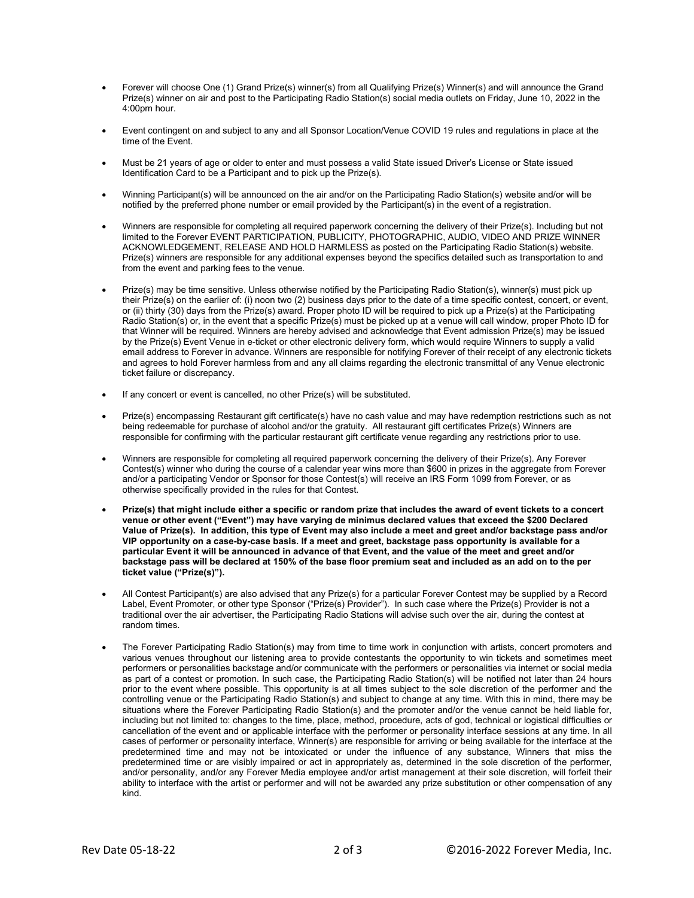- Forever will choose One (1) Grand Prize(s) winner(s) from all Qualifying Prize(s) Winner(s) and will announce the Grand Prize(s) winner on air and post to the Participating Radio Station(s) social media outlets on Friday, June 10, 2022 in the 4:00pm hour.
- Event contingent on and subject to any and all Sponsor Location/Venue COVID 19 rules and regulations in place at the time of the Event.
- Must be 21 years of age or older to enter and must possess a valid State issued Driver's License or State issued Identification Card to be a Participant and to pick up the Prize(s).
- Winning Participant(s) will be announced on the air and/or on the Participating Radio Station(s) website and/or will be notified by the preferred phone number or email provided by the Participant(s) in the event of a registration.
- Winners are responsible for completing all required paperwork concerning the delivery of their Prize(s). Including but not limited to the Forever EVENT PARTICIPATION, PUBLICITY, PHOTOGRAPHIC, AUDIO, VIDEO AND PRIZE WINNER ACKNOWLEDGEMENT, RELEASE AND HOLD HARMLESS as posted on the Participating Radio Station(s) website. Prize(s) winners are responsible for any additional expenses beyond the specifics detailed such as transportation to and from the event and parking fees to the venue.
- Prize(s) may be time sensitive. Unless otherwise notified by the Participating Radio Station(s), winner(s) must pick up their Prize(s) on the earlier of: (i) noon two (2) business days prior to the date of a time specific contest, concert, or event, or (ii) thirty (30) days from the Prize(s) award. Proper photo ID will be required to pick up a Prize(s) at the Participating Radio Station(s) or, in the event that a specific Prize(s) must be picked up at a venue will call window, proper Photo ID for that Winner will be required. Winners are hereby advised and acknowledge that Event admission Prize(s) may be issued by the Prize(s) Event Venue in e-ticket or other electronic delivery form, which would require Winners to supply a valid email address to Forever in advance. Winners are responsible for notifying Forever of their receipt of any electronic tickets and agrees to hold Forever harmless from and any all claims regarding the electronic transmittal of any Venue electronic ticket failure or discrepancy.
- If any concert or event is cancelled, no other Prize(s) will be substituted.
- Prize(s) encompassing Restaurant gift certificate(s) have no cash value and may have redemption restrictions such as not being redeemable for purchase of alcohol and/or the gratuity. All restaurant gift certificates Prize(s) Winners are responsible for confirming with the particular restaurant gift certificate venue regarding any restrictions prior to use.
- Winners are responsible for completing all required paperwork concerning the delivery of their Prize(s). Any Forever Contest(s) winner who during the course of a calendar year wins more than \$600 in prizes in the aggregate from Forever and/or a participating Vendor or Sponsor for those Contest(s) will receive an IRS Form 1099 from Forever, or as otherwise specifically provided in the rules for that Contest.
- **Prize(s) that might include either a specific or random prize that includes the award of event tickets to a concert venue or other event ("Event") may have varying de minimus declared values that exceed the \$200 Declared Value of Prize(s). In addition, this type of Event may also include a meet and greet and/or backstage pass and/or VIP opportunity on a case-by-case basis. If a meet and greet, backstage pass opportunity is available for a particular Event it will be announced in advance of that Event, and the value of the meet and greet and/or backstage pass will be declared at 150% of the base floor premium seat and included as an add on to the per ticket value ("Prize(s)").**
- All Contest Participant(s) are also advised that any Prize(s) for a particular Forever Contest may be supplied by a Record Label, Event Promoter, or other type Sponsor ("Prize(s) Provider"). In such case where the Prize(s) Provider is not a traditional over the air advertiser, the Participating Radio Stations will advise such over the air, during the contest at random times.
- The Forever Participating Radio Station(s) may from time to time work in conjunction with artists, concert promoters and various venues throughout our listening area to provide contestants the opportunity to win tickets and sometimes meet performers or personalities backstage and/or communicate with the performers or personalities via internet or social media as part of a contest or promotion. In such case, the Participating Radio Station(s) will be notified not later than 24 hours prior to the event where possible. This opportunity is at all times subject to the sole discretion of the performer and the controlling venue or the Participating Radio Station(s) and subject to change at any time. With this in mind, there may be situations where the Forever Participating Radio Station(s) and the promoter and/or the venue cannot be held liable for, including but not limited to: changes to the time, place, method, procedure, acts of god, technical or logistical difficulties or cancellation of the event and or applicable interface with the performer or personality interface sessions at any time. In all cases of performer or personality interface, Winner(s) are responsible for arriving or being available for the interface at the predetermined time and may not be intoxicated or under the influence of any substance, Winners that miss the predetermined time or are visibly impaired or act in appropriately as, determined in the sole discretion of the performer, and/or personality, and/or any Forever Media employee and/or artist management at their sole discretion, will forfeit their ability to interface with the artist or performer and will not be awarded any prize substitution or other compensation of any kind.